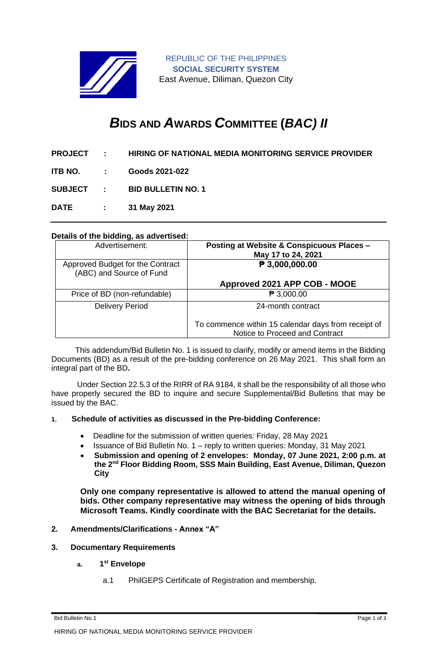

REPUBLIC OF THE PHILIPPINES **SOCIAL SECURITY SYSTEM** East Avenue, Diliman, Quezon City

# *B***IDS AND** *A***WARDS** *C***OMMITTEE (***BAC) II*

- **PROJECT : HIRING OF NATIONAL MEDIA MONITORING SERVICE PROVIDER**
- **ITB NO. : Goods 2021-022**

**SUBJECT : BID BULLETIN NO. 1**

**DATE : 31 May 2021**

# **Details of the bidding, as advertised:**

| Advertisement:                                               | Posting at Website & Conspicuous Places -<br>May 17 to 24, 2021                       |
|--------------------------------------------------------------|---------------------------------------------------------------------------------------|
| Approved Budget for the Contract<br>(ABC) and Source of Fund | $\sqrt{P}$ 3,000,000.00                                                               |
|                                                              | Approved 2021 APP COB - MOOE                                                          |
| Price of BD (non-refundable)                                 | $\mathsf{P}3,000.00$                                                                  |
| <b>Delivery Period</b>                                       | 24-month contract                                                                     |
|                                                              | To commence within 15 calendar days from receipt of<br>Notice to Proceed and Contract |

 This addendum/Bid Bulletin No. 1 is issued to clarify, modify or amend items in the Bidding Documents (BD) as a result of the pre-bidding conference on 26 May 2021. This shall form an integral part of the BD**.**

Under Section 22.5.3 of the RIRR of RA 9184, it shall be the responsibility of all those who have properly secured the BD to inquire and secure Supplemental/Bid Bulletins that may be issued by the BAC.

## **1. Schedule of activities as discussed in the Pre-bidding Conference:**

- Deadline for the submission of written queries: Friday, 28 May 2021
- Issuance of Bid Bulletin No. 1 reply to written queries: Monday, 31 May 2021
- **Submission and opening of 2 envelopes: Monday, 07 June 2021, 2:00 p.m. at the 2nd Floor Bidding Room, SSS Main Building, East Avenue, Diliman, Quezon City**

**Only one company representative is allowed to attend the manual opening of bids. Other company representative may witness the opening of bids through Microsoft Teams. Kindly coordinate with the BAC Secretariat for the details.**

### **2. Amendments/Clarifications - Annex "A"**

#### **3. Documentary Requirements**

- **a. 1 st Envelope**
	- a.1 PhilGEPS Certificate of Registration and membership.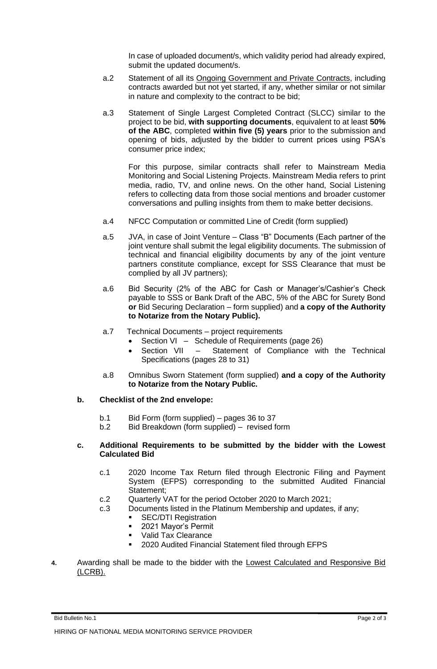In case of uploaded document/s, which validity period had already expired, submit the updated document/s.

- a.2 Statement of all its Ongoing Government and Private Contracts, including contracts awarded but not yet started, if any, whether similar or not similar in nature and complexity to the contract to be bid;
- a.3 Statement of Single Largest Completed Contract (SLCC) similar to the project to be bid, **with supporting documents**, equivalent to at least **50% of the ABC**, completed **within five (5) years** prior to the submission and opening of bids, adjusted by the bidder to current prices using PSA's consumer price index;

For this purpose, similar contracts shall refer to Mainstream Media Monitoring and Social Listening Projects. Mainstream Media refers to print media, radio, TV, and online news. On the other hand, Social Listening refers to collecting data from those social mentions and broader customer conversations and pulling insights from them to make better decisions.

- a.4 NFCC Computation or committed Line of Credit (form supplied)
- a.5 JVA, in case of Joint Venture Class "B" Documents (Each partner of the joint venture shall submit the legal eligibility documents. The submission of technical and financial eligibility documents by any of the joint venture partners constitute compliance, except for SSS Clearance that must be complied by all JV partners);
- a.6 Bid Security (2% of the ABC for Cash or Manager's/Cashier's Check payable to SSS or Bank Draft of the ABC, 5% of the ABC for Surety Bond **or** Bid Securing Declaration – form supplied) and **a copy of the Authority to Notarize from the Notary Public).**
- a.7 Technical Documents project requirements
	- Section VI Schedule of Requirements (page 26)
		- Section VII Statement of Compliance with the Technical Specifications (pages 28 to 31)
- a.8 Omnibus Sworn Statement (form supplied) **and a copy of the Authority to Notarize from the Notary Public.**
- **b. Checklist of the 2nd envelope:**
	- b.1 Bid Form (form supplied) pages 36 to 37
	- b.2 Bid Breakdown (form supplied) revised form

## **c. Additional Requirements to be submitted by the bidder with the Lowest Calculated Bid**

- c.1 2020 Income Tax Return filed through Electronic Filing and Payment System (EFPS) corresponding to the submitted Audited Financial Statement;
- c.2 Quarterly VAT for the period October 2020 to March 2021;
- c.3 Documents listed in the Platinum Membership and updates, if any;
	- **SEC/DTI Registration**
	- 2021 Mayor's Permit
	- Valid Tax Clearance
	- 2020 Audited Financial Statement filed through EFPS
- **4.** Awarding shall be made to the bidder with the Lowest Calculated and Responsive Bid (LCRB).